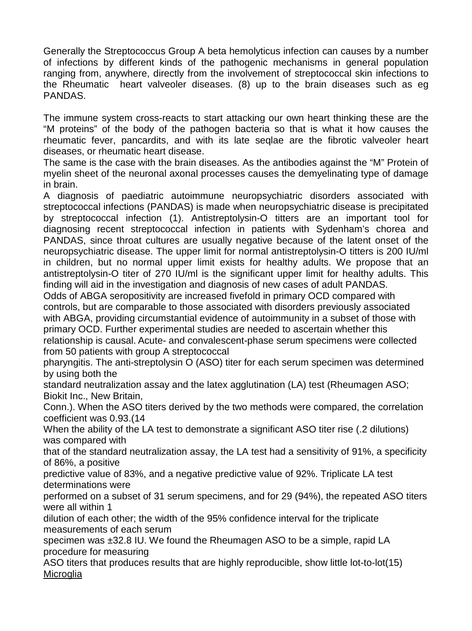Generally the Streptococcus Group A beta hemolyticus infection can causes by a number of infections by different kinds of the pathogenic mechanisms in general population ranging from, anywhere, directly from the involvement of streptococcal skin infections to the Rheumatic heart valveoler diseases. (8) up to the brain diseases such as eg PANDAS.

The immune system cross-reacts to start attacking our own heart thinking these are the "M proteins" of the body of the pathogen bacteria so that is what it how causes the rheumatic fever, pancardits, and with its late seqlae are the fibrotic valveoler heart diseases, or rheumatic heart disease.

The same is the case with the brain diseases. As the antibodies against the "M" Protein of myelin sheet of the neuronal axonal processes causes the demyelinating type of damage in brain.

A diagnosis of paediatric autoimmune neuropsychiatric disorders associated with streptococcal infections (PANDAS) is made when neuropsychiatric disease is precipitated by streptococcal infection (1). Antistreptolysin-O titters are an important tool for diagnosing recent streptococcal infection in patients with Sydenham's chorea and PANDAS, since throat cultures are usually negative because of the latent onset of the neuropsychiatric disease. The upper limit for normal antistreptolysin-O titters is 200 IU/ml in children, but no normal upper limit exists for healthy adults. We propose that an antistreptolysin-O titer of 270 IU/ml is the significant upper limit for healthy adults. This finding will aid in the investigation and diagnosis of new cases of adult PANDAS.

Odds of ABGA seropositivity are increased fivefold in primary OCD compared with controls, but are comparable to those associated with disorders previously associated with ABGA, providing arcumstantial evidence of automorphic in a subset of those with primary OCD. Further experimental studies are needed to ascertain whether this So A ABGA serpose and the served in the served in person to the conduct of the served in ABGA, provid in increase the served of although a HSGA, provid in increasing the served of a conduction of the served in the served i

relationship is causal. Acute- and convalescent-phase serum specimens were collected from 50 patients with group A streptococcal

pharyngitis. The anti-streptolysin O (ASO) titer for each serum specimen was determined by using both the

standard neutralization assay and the latex agglutination (LA) test (Rheumagen ASO; Biokit Inc., New Britain,

Conn.). When the ASO titers derived by the two methods were compared, the correlation coefficient was 0.93.(14

When the ability of the LA test to demonstrate a significant ASO titer rise (.2 dilutions) was compared with

that of the standard neutralization assay, the LA test had a sensitivity of 91%, a specificity of 86%, a positive

predictive value of 83%, and a negative predictive value of 92%. Triplicate LA test determinations were

performed on a subset of 31 serum specimens, and for 29 (94%), the repeated ASO titers were all within 1

dilution of each other; the width of the 95% confidence interval for the triplicate measurements of each serum

specimen was ±32.8 IU. We found the Rheumagen ASO to be a simple, rapid LA procedure for measuring

ASO titers that produces results that are highly reproducible, show little lot-to-lot(15) **Microglia**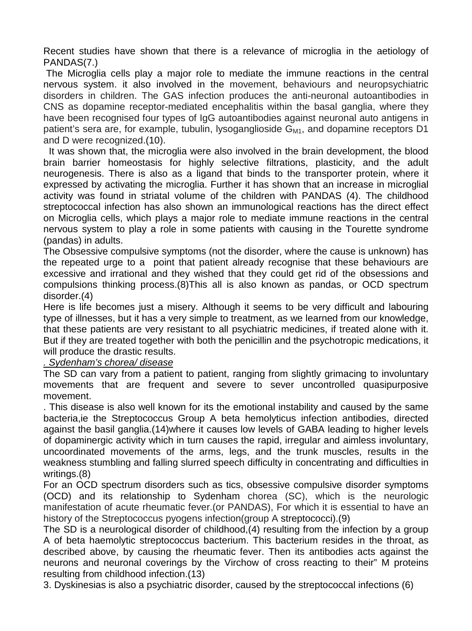Recent studies have shown that there is a relevance of microglia in the aetiology of PANDAS(7.)

The Microglia cells play a major role to mediate the immune reactions in the central nervous system. it also involved in the movement, behaviours and neuropsychiatric disorders in children. The GAS infection produces the anti-neuronal autoantibodies in CNS as dopamine receptor-mediated encephalitis within the basal ganglia, where they have been recognised four types of IgG autoantibodies against neuronal auto antigens in patient's sera are, for example, tubulin, lysoganglioside  $G_{\text{M1}}$ , and dopamine receptors D1 and D were recognized.(10).

 It was shown that, the microglia were also involved in the brain development, the blood brain barrier homeostasis for highly selective filtrations, plasticity, and the adult neurogenesis. There is also as a ligand that binds to the transporter protein, where it expressed by activating the microglia. Further it has shown that an increase in microglial activity was found in striatal volume of the children with PANDAS (4). The childhood streptococcal infection has also shown an immunological reactions has the direct effect on Microglia cells, which plays a major role to mediate immune reactions in the central nervous system to play a role in some patients with causing in the Tourette syndrome (pandas) in adults.

The Obsessive compulsive symptoms (not the disorder, where the cause is unknown) has the repeated urge to a point that patient already recognise that these behaviours are excessive and irrational and they wished that they could get rid of the obsessions and compulsions thinking process.(8)This all is also known as pandas, or OCD spectrum disorder.(4)

Here is life becomes just a misery. Although it seems to be very difficult and labouring type of illnesses, but it has a very simple to treatment, as we learned from our knowledge, that these patients are very resistant to all psychiatric medicines, if treated alone with it. But if they are treated together with both the penicillin and the psychotropic medications, it will produce the drastic results.

# *. Sydenham's chorea/ disease*

The SD can vary from a patient to patient, ranging from slightly grimacing to involuntary movements that are frequent and severe to sever uncontrolled quasipurposive movement.

. This disease is also well known for its the emotional instability and caused by the same bacteria,ie the Streptococcus Group A beta hemolyticus infection antibodies, directed against the basil ganglia.(14)where it causes low levels of GABA leading to higher levels of dopaminergic activity which in turn causes the rapid, irregular and aimless involuntary, uncoordinated movements of the arms, legs, and the trunk muscles, results in the weakness stumbling and falling slurred speech difficulty in concentrating and difficulties in writings.(8) profer.(4)<br>re is life becomes just a misery. Although it seems to be very diffice of illnesses, but it has a very simple to treatment, as we learned from<br>the partieris are very resistant to all psychiatric medicines, if tr

For an OCD spectrum disorders such as tics, obsessive compulsive disorder symptoms (OCD) and its relationship to Sydenham chorea (SC), which is the neurologic manifestation of acute rheumatic fever.(or PANDAS), For which it is essential to have an history of the Streptococcus pyogens infection(group A streptococci).(9)

The SD is a neurological disorder of childhood,(4) resulting from the infection by a group A of beta haemolytic streptococcus bacterium. This bacterium resides in the throat, as described above, by causing the rheumatic fever. Then its antibodies acts against the neurons and neuronal coverings by the Virchow of cross reacting to their" M proteins resulting from childhood infection.(13)

3. Dyskinesias is also a psychiatric disorder, caused by the streptococcal infections (6)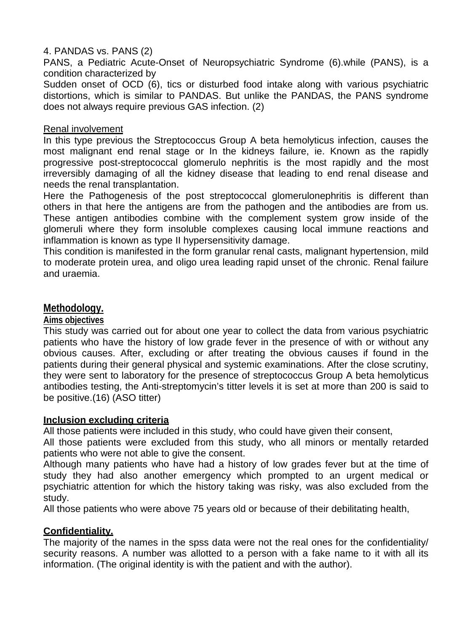# 4. PANDAS vs. PANS (2)

PANS, a Pediatric Acute-Onset of Neuropsychiatric Syndrome (6).while (PANS), is a condition characterized by

Sudden onset of OCD (6), tics or disturbed food intake along with various psychiatric distortions, which is similar to PANDAS. But unlike the PANDAS, the PANS syndrome does not always require previous GAS infection. (2)

#### Renal involvement

In this type previous the Streptococcus Group A beta hemolyticus infection, causes the most malignant end renal stage or In the kidneys failure, ie. Known as the rapidly progressive post-streptococcal glomerulo nephritis is the most rapidly and the most irreversibly damaging of all the kidney disease that leading to end renal disease and needs the renal transplantation.

Here the Pathogenesis of the post streptococcal glomerulonephritis is different than others in that here the antigens are from the pathogen and the antibodies are from us. These antigen antibodies combine with the complement system grow inside of the glomeruli where they form insoluble complexes causing local immune reactions and inflammation is known as type II hypersensitivity damage.

This condition is manifested in the form granular renal casts, malignant hypertension, mild to moderate protein urea, and oligo urea leading rapid unset of the chronic. Renal failure and uraemia.

# **Methodology.**

**Aims objectives**

This study was carried out for about one year to collect the data from various psychiatric patients who have the history of low grade fever in the presence of with or without any obvious causes. After, excluding or after treating the obvious causes if found in the patients during their general physical and systemic examinations. After the close scrutiny, they were sent to laboratory for the presence of streptococcus Group A beta hemolyticus antibodies testing, the Anti-streptomycin's titter levels it is set at more than 200 is said to be positive.(16) (ASO titter) The completives<br>
Sobjectives<br>
Sobjectives<br>
Sobjectives<br>
Sobjectives<br>
Sobjectives<br>
Sobjectives<br>
Sobjectives and the history of low grade fever in the presence of wive<br>
vious causes. After, excluding or after treating the ob

#### **Inclusion excluding criteria**

All those patients were included in this study, who could have given their consent,

All those patients were excluded from this study, who all minors or mentally retarded patients who were not able to give the consent.

Although many patients who have had a history of low grades fever but at the time of study they had also another emergency which prompted to an urgent medical or psychiatric attention for which the history taking was risky, was also excluded from the study.

All those patients who were above 75 years old or because of their debilitating health,

#### **Confidentiality.**

The majority of the names in the spss data were not the real ones for the confidentiality/ security reasons. A number was allotted to a person with a fake name to it with all its information. (The original identity is with the patient and with the author).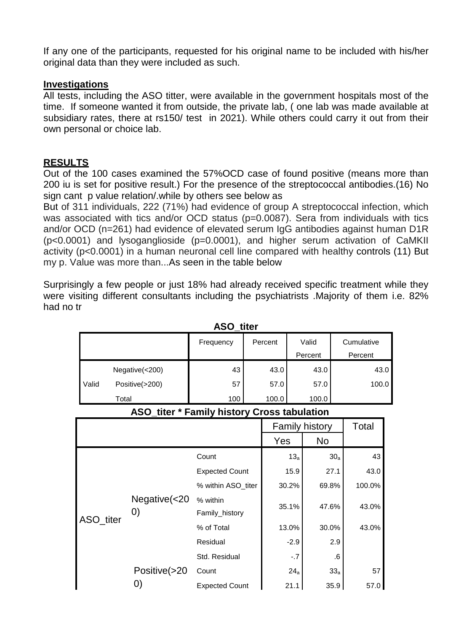If any one of the participants, requested for his original name to be included with his/her original data than they were included as such.

#### **Investigations**

All tests, including the ASO titter, were available in the government hospitals most of the time. If someone wanted it from outside, the private lab, ( one lab was made available at subsidiary rates, there at rs150/ test in 2021). While others could carry it out from their own personal or choice lab.

# **RESULTS**

Out of the 100 cases examined the 57%OCD case of found positive (means more than 200 iu is set for positive result.) For the presence of the streptococcal antibodies.(16) No sign cant p value relation/.while by others see below as

But of 311 individuals, 222 (71%) had evidence of group A streptococcal infection, which was associated with tics and/or OCD status (p=0.0087). Sera from individuals with tics and/or OCD (n=261) had evidence of elevated serum IgG antibodies against human D1R (p<0.0001) and lysoganglioside (p=0.0001), and higher serum activation of CaMKII activity (p<0.0001) in a human neuronal cell line compared with healthy controls (11) But my p. Value was more than...As seen in the table below

Surprisingly a few people or just 18% had already received specific treatment while they were visiting different consultants including the psychiatrists .Majority of them i.e. 82% had no tr

|       | <b>ASO_titer</b> |           |         |         |            |  |  |  |  |
|-------|------------------|-----------|---------|---------|------------|--|--|--|--|
|       |                  | Frequency | Percent | Valid   | Cumulative |  |  |  |  |
|       |                  |           |         | Percent | Percent    |  |  |  |  |
|       | Negative(<200)   | 43        | 43.0    | 43.0    | 43.0       |  |  |  |  |
| Valid | Positive(>200)   | 57        | 57.0    | 57.0    | 100.0      |  |  |  |  |
|       | Total            | 100       | 100.0   | 100.0   |            |  |  |  |  |

| ASO_titer * Family history Cross tabulation |  |  |  |
|---------------------------------------------|--|--|--|
|---------------------------------------------|--|--|--|

|           |                                             | <b>ASO_titer</b>           |         |                 |                |                 |            |
|-----------|---------------------------------------------|----------------------------|---------|-----------------|----------------|-----------------|------------|
|           |                                             | Frequency                  | Percent |                 | Valid          |                 | Cumulative |
|           |                                             |                            |         |                 | Percent        |                 | Percent    |
|           | Negative(<200)                              | 43                         | 43.0    |                 | 43.0           |                 | 43.        |
| Valid     | Positive(>200)                              | 57                         | 57.0    |                 | 57.0           |                 | 100.0      |
| Total     |                                             | 100                        | 100.0   |                 | 100.0          |                 |            |
|           | ASO_titer * Family history Cross tabulation |                            |         |                 |                |                 |            |
|           |                                             |                            |         |                 | Family history |                 | Total      |
|           |                                             |                            | Yes     |                 | <b>No</b>      |                 |            |
|           |                                             | Count                      |         | 13 <sub>a</sub> |                | 30 <sub>a</sub> | 43         |
|           |                                             | <b>Expected Count</b>      |         | 15.9            |                | 27.1            | 43.0       |
|           |                                             | % within ASO_titer         |         | 30.2%           | 69.8%          |                 | 100.0%     |
| ASO_titer | Negative(<20<br>$\left( 0\right)$           | % within<br>Family_history |         | 35.1%           | 47.6%          |                 | 43.0%      |
|           |                                             | % of Total                 |         | 13.0%           | 30.0%          |                 | 43.0%      |
|           |                                             | Residual                   |         | $-2.9$          |                | 2.9             |            |
|           |                                             | Std. Residual              |         | $-.7$           |                | .6              |            |
|           | Positive(>20                                | Count                      |         | 24a             |                | 33 <sub>a</sub> | 57         |
|           | 0)                                          | <b>Expected Count</b>      |         | 21.1            |                | 35.9            | 57.0       |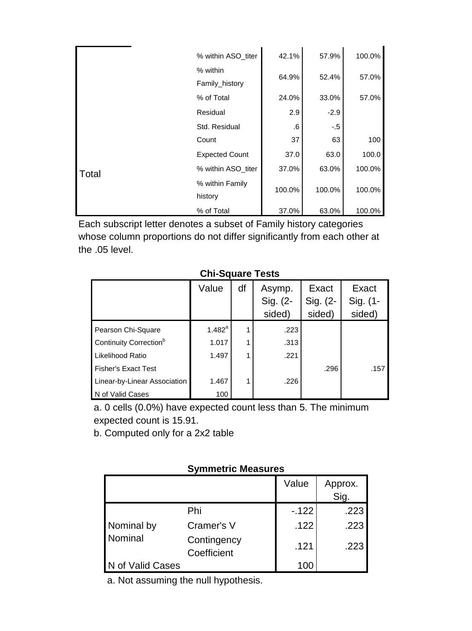|       | % within ASO_titer         | 42.1%  | 57.9%  | 100.0% |
|-------|----------------------------|--------|--------|--------|
|       | % within<br>Family_history | 64.9%  | 52.4%  | 57.0%  |
|       | % of Total                 | 24.0%  | 33.0%  | 57.0%  |
|       | Residual                   | 2.9    | $-2.9$ |        |
|       | Std. Residual              | .6     | $-.5$  |        |
|       | Count                      | 37     | 63     | 100    |
|       | <b>Expected Count</b>      | 37.0   | 63.0   | 100.0  |
| Total | % within ASO titer         | 37.0%  | 63.0%  | 100.0% |
|       | % within Family<br>history | 100.0% | 100.0% | 100.0% |
|       | % of Total                 | 37.0%  | 63.0%  | 100.0% |

Each subscript letter denotes a subset of Family history categories whose column proportions do not differ significantly from each other at the .05 level.

# **Chi-Square Tests**

|                                    | Value                      | df | Asymp.<br>Sig. (2-<br>sided) | Exact<br>Sig. (2-<br>sided) | Exact<br>Sig. (1-<br>sided) |
|------------------------------------|----------------------------|----|------------------------------|-----------------------------|-----------------------------|
| Pearson Chi-Square                 | $1.482^{a}$                |    | .223                         |                             |                             |
| Continuity Correction <sup>b</sup> | 1.017                      | 1  | .313                         |                             |                             |
| Likelihood Ratio                   | 1.497                      | 1  | .221                         |                             |                             |
| <b>Fisher's Exact Test</b>         |                            |    |                              | .296                        | .157                        |
| Linear-by-Linear Association       | 1.467                      | 1  | .226                         |                             |                             |
| N of Valid Cases                   | 100                        |    |                              |                             |                             |
|                                    |                            |    |                              |                             |                             |
|                                    | <b>Symmetric Measures</b>  |    | Value                        |                             |                             |
|                                    |                            |    |                              |                             | Approx.<br>Sig.             |
|                                    | Phi                        |    |                              | $-122$                      | .223                        |
| Nominal by                         | Cramer's V                 |    |                              | .122                        | .223                        |
| Nominal                            | Contingency<br>Coefficient |    |                              | .121                        | .223                        |

# **Symmetric Measures**

|                  |                            | Value  | Approx.<br><br>Sig. |
|------------------|----------------------------|--------|---------------------|
|                  | Phi                        | $-122$ | .223                |
| Nominal by       | Cramer's V                 | .122   | .223                |
| Nominal          | Contingency<br>Coefficient | .121   | .223                |
| N of Valid Cases |                            | 100    |                     |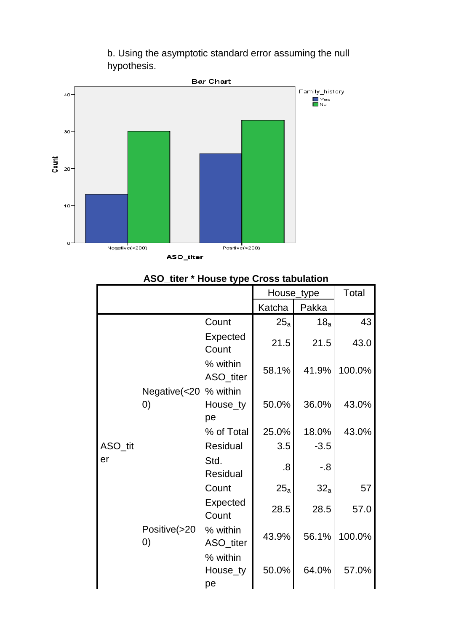b. Using the asymptotic standard error assuming the null hypothesis.



# House\_type | Total Katcha | Pakka ASO\_tit er Negative(<20 % within 0) Count  $25_a$  18<sub>a</sub> 43 Expected  $\begin{array}{|c|c|c|c|c|c|c|c|}\n\hline\n\text{Count} & 21.5 & 21.5 & 43.0\n\end{array}$ % within ASO\_titer 58.1% 41.9% 100.0% House\_ty pe 50.0% 36.0% 43.0% % of Total | 25.0% | 18.0% | 43.0% Residual  $\vert$  3.5  $\vert$  -3.5 Std.  $Residual$  .8  $-8$ Positive(>20 Count  $25_a$  32<sub>a</sub> 57 Expected  $\begin{array}{|c|c|c|c|c|c|c|c|}\n\hline\n\text{Count} & 28.5 & 28.5 & 57.0\n\end{array}$ % within ASO\_titer 43.9% 56.1% 100.0% From Expected Ratch  $25$  18<br>
Expected  $25$  18<br>
Expected  $25$  18<br>
Count 2.1.5 21.5<br>
We within ASO\_itit ASO\_ititin and the section of the section of the section of the section of the section of the section of the section of

% within House\_ty

50.0% 64.0% 57.0%

pe

# **ASO\_titer \* House type Cross tabulation**

0)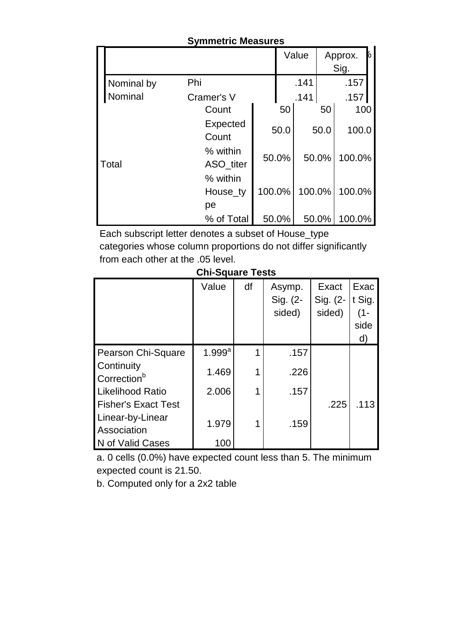|            | <b>OVININGLIO MIGASULGS</b> |        |       |        |       |                      |
|------------|-----------------------------|--------|-------|--------|-------|----------------------|
|            |                             |        |       | Value  |       | 6<br>Approx.<br>Sig. |
| Nominal by | Phi                         |        |       | .141   |       | .157                 |
| Nominal    | Cramer's V                  |        |       | .141   |       | .157                 |
|            | Count                       |        | 50    |        | 50    | 100                  |
|            | Expected<br>Count           |        | 50.0  |        | 50.0  | 100.0                |
| Total      | % within<br>ASO_titer       |        | 50.0% |        | 50.0% | 100.0%               |
|            | % within<br>House_ty        | 100.0% |       | 100.0% |       | 100.0%               |
|            | pe                          |        |       |        |       |                      |
|            | % of Total                  |        | 50.0% |        | 50.0% | 100.0%               |

#### **Symmetric Measures**

Each subscript letter denotes a subset of House\_type categories whose column proportions do not differ significantly from each other at the .05 level.

# **Chi-Square Tests**

|                                                                                                                                | Value                | df | Asymp.<br>Sig. (2-<br>sided) | Exact<br>Sig. (2-<br>sided) | Exac<br>t Sig.<br>$(1 -$<br>side<br>d) |
|--------------------------------------------------------------------------------------------------------------------------------|----------------------|----|------------------------------|-----------------------------|----------------------------------------|
| Pearson Chi-Square                                                                                                             | $1.999$ <sup>a</sup> | 1  | .157                         |                             |                                        |
| Continuity<br>Correction <sup>b</sup>                                                                                          | 1.469                | 1  | .226                         |                             |                                        |
| <b>Likelihood Ratio</b>                                                                                                        | 2.006                | 1  | .157                         |                             |                                        |
| <b>Fisher's Exact Test</b><br>Linear-by-Linear<br>Association                                                                  | 1.979                | 1  | .159                         | .225                        | .113                                   |
| N of Valid Cases                                                                                                               | 100                  |    |                              |                             |                                        |
| a. 0 cells (0.0%) have expected count less than 5. The minimum<br>expected count is 21.50.<br>b. Computed only for a 2x2 table |                      |    |                              |                             |                                        |
| Copyright © 2021 IEEE-SEM Publications                                                                                         |                      |    |                              |                             |                                        |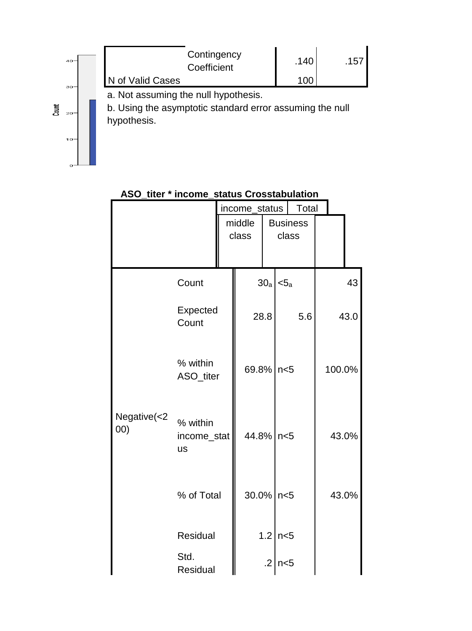#### IEEE-SEM, Volume 9, Issue 12, December-2021 ISSN 2320-9151



|                                        |                                      | income_status<br>middle<br>class |                 | Total<br><b>Business</b><br>class |        |            |
|----------------------------------------|--------------------------------------|----------------------------------|-----------------|-----------------------------------|--------|------------|
|                                        | Count<br>Expected<br>Count           | 28.8                             | 30 <sub>a</sub> | < 5a<br>5.6                       |        | 43<br>43.0 |
|                                        | % within<br>ASO_titer                | 69.8% n<5                        |                 |                                   | 100.0% |            |
| Negative(<2<br>(00)                    | % within<br>income_stat<br><b>us</b> | 44.8% n<5                        |                 |                                   | 43.0%  |            |
|                                        | % of Total                           | $30.0\%$ n < 5                   |                 |                                   | 43.0%  |            |
|                                        | Residual                             |                                  |                 | $1.2$ n < 5                       |        |            |
|                                        | Std.<br>Residual                     |                                  |                 | $.2 \mid n < 5$                   |        |            |
| Copyright © 2021 IEEE-SEM Publications |                                      |                                  |                 |                                   |        |            |

# **ASO\_titer \* income\_status Crosstabulation**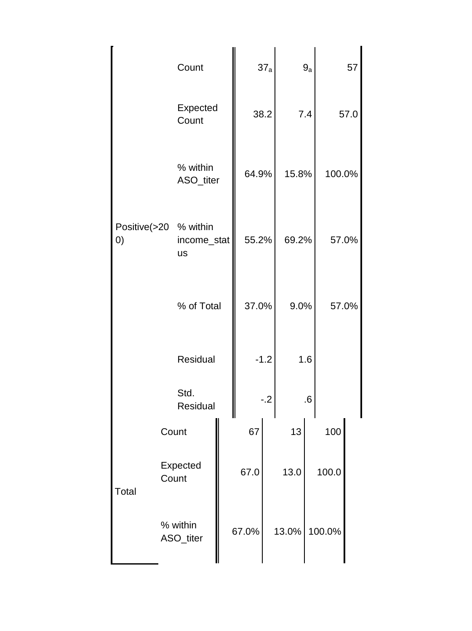|                                        |                   | Count                                             |       | 37a    |       | $9a$ |        | 57   |
|----------------------------------------|-------------------|---------------------------------------------------|-------|--------|-------|------|--------|------|
|                                        |                   | Expected<br>Count                                 |       | 38.2   |       | 7.4  |        | 57.0 |
|                                        |                   | % within<br>ASO_titer                             | 64.9% |        | 15.8% |      | 100.0% |      |
|                                        | $\left( 0\right)$ | Positive(>20 % within<br>income_stat<br><b>us</b> | 55.2% |        | 69.2% |      | 57.0%  |      |
|                                        |                   | % of Total                                        | 37.0% |        | 9.0%  |      | 57.0%  |      |
|                                        |                   | Residual                                          |       | $-1.2$ |       | 1.6  |        |      |
|                                        |                   | Std.<br>Residual                                  |       | $-0.2$ |       | 6.6  |        |      |
|                                        |                   | Count                                             | 67    |        | 13    |      | 100    |      |
|                                        | <b>Total</b>      | Expected<br>Count                                 | 67.0  |        | 13.0  |      | 100.0  |      |
|                                        |                   | % within<br>ASO_titer                             | 67.0% |        | 13.0% |      | 100.0% |      |
| Copyright © 2021 IEEE-SEM Publications |                   |                                                   |       |        |       |      |        |      |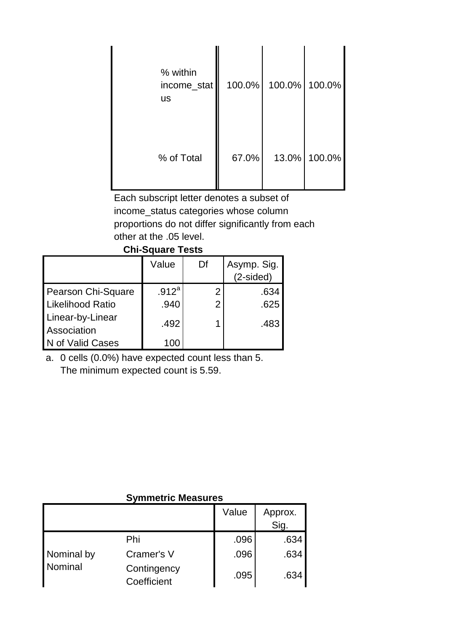| % within<br>income_stat<br><b>us</b> | 100.0% | 100.0% | 100.0% |
|--------------------------------------|--------|--------|--------|
| % of Total                           | 67.0%  | 13.0%  | 100.0% |

Each subscript letter denotes a subset of income\_status categories whose column proportions do not differ significantly from each other at the .05 level.

#### **Chi-Square Tests**

|                                 | Value             | Df             | Asymp. Sig.<br>$(2-sided)$ |  |
|---------------------------------|-------------------|----------------|----------------------------|--|
| Pearson Chi-Square              | .912 <sup>a</sup> | າ              | .634                       |  |
| <b>Likelihood Ratio</b>         | .940              | $\overline{2}$ | .625                       |  |
| Linear-by-Linear<br>Association | .492              | 1              | .483                       |  |
| N of Valid Cases                | 100               |                |                            |  |

#### **Symmetric Measures**

| i vaivui viii vyuulu<br><b>Likelihood Ratio</b><br>Linear-by-Linear<br>Association | .v . c<br>.940<br>.492              | ∸<br>$\overline{2}$<br>1 |       | .vv<br>.625<br>.483 |  |
|------------------------------------------------------------------------------------|-------------------------------------|--------------------------|-------|---------------------|--|
| N of Valid Cases                                                                   | 100                                 |                          |       |                     |  |
| a. 0 cells (0.0%) have expected count less than 5.                                 | The minimum expected count is 5.59. |                          |       |                     |  |
|                                                                                    | <b>Symmetric Measures</b>           |                          |       |                     |  |
|                                                                                    |                                     |                          | Value | Approx.<br>Sig.     |  |
|                                                                                    | Phi                                 |                          | .096  | .634                |  |
| Nominal by                                                                         | Cramer's V                          |                          | .096  | .634                |  |
| Nominal                                                                            | Contingency<br>Coefficient          |                          | .095  | .634                |  |
| Copyright © 2021 IEEE-SEM Publications                                             |                                     |                          |       |                     |  |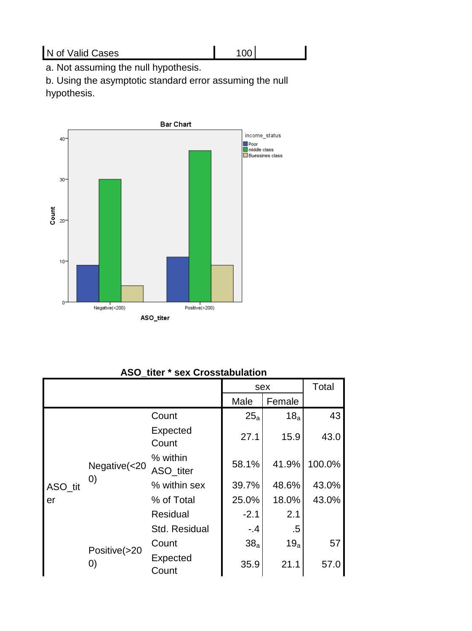# N of Valid Cases 100

a. Not assuming the null hypothesis.

b. Using the asymptotic standard error assuming the null hypothesis.



# **ASO\_titer \* sex Crosstabulation**

| 0            | Negative(<200)                         | $\frac{1}{\text{Positive}(>200)}$<br>ASO_titer<br>ASO_titer * sex Crosstabulation |                 |                 |        |  |  |
|--------------|----------------------------------------|-----------------------------------------------------------------------------------|-----------------|-----------------|--------|--|--|
| Total<br>sex |                                        |                                                                                   |                 |                 |        |  |  |
|              |                                        |                                                                                   | Male            | Female          |        |  |  |
|              |                                        | Count                                                                             | 25a             | 18 <sub>a</sub> | 43     |  |  |
|              | Negative(<20<br>$\left( 0\right)$      | Expected<br>Count                                                                 | 27.1            | 15.9            | 43.0   |  |  |
|              |                                        | % within<br>ASO_titer                                                             | 58.1%           | 41.9%           | 100.0% |  |  |
| ASO_tit      |                                        | % within sex                                                                      | 39.7%           | 48.6%           | 43.0%  |  |  |
| er           |                                        | % of Total                                                                        | 25.0%           | 18.0%           | 43.0%  |  |  |
|              |                                        | Residual                                                                          | $-2.1$          | 2.1             |        |  |  |
|              |                                        | Std. Residual                                                                     | $-.4$           | .5              |        |  |  |
|              |                                        | Count                                                                             | 38 <sub>a</sub> | 19 <sub>a</sub> | 57     |  |  |
|              | Positive(>20<br>$\left( 0\right)$      | Expected<br>Count                                                                 | 35.9            | 21.1            | 57.0   |  |  |
|              | Copyright © 2021 IEEE-SEM Publications |                                                                                   |                 |                 |        |  |  |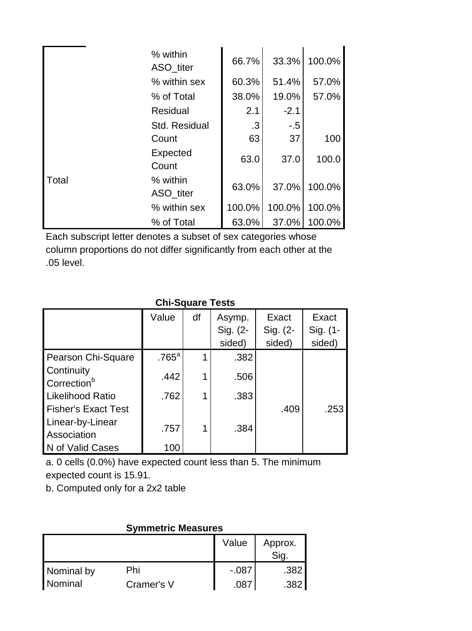|       | % within<br>ASO titer | 66.7%  | 33.3%  | 100.0% |
|-------|-----------------------|--------|--------|--------|
|       | % within sex          | 60.3%  | 51.4%  | 57.0%  |
|       | % of Total            | 38.0%  | 19.0%  | 57.0%  |
|       | Residual              | 2.1    | $-2.1$ |        |
|       | Std. Residual         | .3     | $-.5$  |        |
|       | Count                 | 63     | 37     | 100    |
|       | Expected<br>Count     | 63.0   | 37.0   | 100.0  |
| Total | % within<br>ASO_titer | 63.0%  | 37.0%  | 100.0% |
|       | % within sex          | 100.0% | 100.0% | 100.0% |
|       | % of Total            | 63.0%  | 37.0%  | 100.0% |

Each subscript letter denotes a subset of sex categories whose column proportions do not differ significantly from each other at the .05 level.

|                                                                                                                                |                           | <b>Chi-Square Tests</b> |          |                 |              |  |  |
|--------------------------------------------------------------------------------------------------------------------------------|---------------------------|-------------------------|----------|-----------------|--------------|--|--|
|                                                                                                                                | Value                     | df                      | Asymp.   | Exact           | <b>Exact</b> |  |  |
|                                                                                                                                |                           |                         | Sig. (2- | Sig. (2-        | Sig. (1-     |  |  |
|                                                                                                                                |                           |                         | sided)   | sided)          | sided)       |  |  |
| Pearson Chi-Square                                                                                                             | $.765$ <sup>a</sup>       | 1                       | .382     |                 |              |  |  |
| Continuity<br>Correction <sup>b</sup>                                                                                          | .442                      | 1                       | .506     |                 |              |  |  |
| <b>Likelihood Ratio</b>                                                                                                        | .762                      | 1                       | .383     |                 |              |  |  |
| <b>Fisher's Exact Test</b>                                                                                                     |                           |                         |          | .409            | .253         |  |  |
| Linear-by-Linear<br>Association                                                                                                | .757                      | 1                       | .384     |                 |              |  |  |
| N of Valid Cases                                                                                                               | 100                       |                         |          |                 |              |  |  |
| a. 0 cells (0.0%) have expected count less than 5. The minimum<br>expected count is 15.91.<br>b. Computed only for a 2x2 table |                           |                         |          |                 |              |  |  |
|                                                                                                                                | <b>Symmetric Measures</b> |                         |          |                 |              |  |  |
|                                                                                                                                |                           |                         | Value    | Approx.<br>Sig. |              |  |  |
| Nominal by<br>Phi                                                                                                              |                           |                         | $-087$   | .382            |              |  |  |
| Nominal                                                                                                                        | Cramer's V                |                         | .087     | .382            |              |  |  |
| Copyright © 2021 IEEE-SEM Publications                                                                                         |                           |                         |          |                 |              |  |  |

| <b>SYMMELIC MEASULES</b> |            |         |                 |  |  |  |  |
|--------------------------|------------|---------|-----------------|--|--|--|--|
|                          |            | Value   | Approx.<br>Sig. |  |  |  |  |
| Nominal by               | Phi        | $-.087$ | .382            |  |  |  |  |
| Nominal                  | Cramer's V | 087     | .382            |  |  |  |  |

# **Symmetric Measures**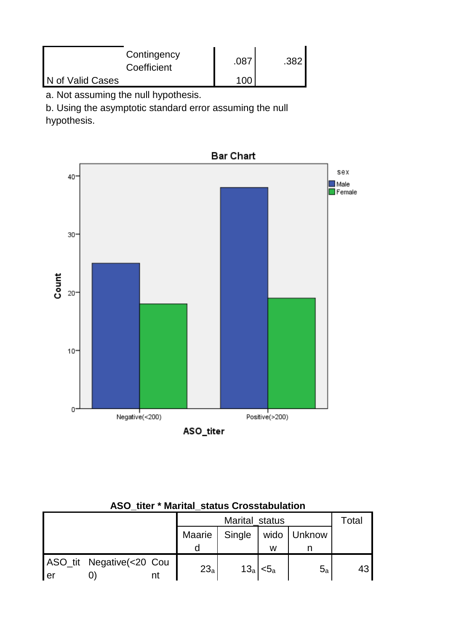| Contingency<br>Coefficient | .087 | າຂາ |
|----------------------------|------|-----|
| N of Valid Cases           |      |     |

a. Not assuming the null hypothesis.

b. Using the asymptotic standard error assuming the null

hypothesis.



|    | AUU UW                   |    | maritar status Urusstabalation |        |                |             |       |
|----|--------------------------|----|--------------------------------|--------|----------------|-------------|-------|
|    |                          |    | Marital status                 |        |                |             | Total |
|    |                          |    | Maarie                         | Single |                | wido Unknow |       |
|    |                          |    |                                |        | w              |             |       |
| er | ASO_tit Negative(<20 Cou | nt | 23 <sub>a</sub>                |        | $13_a$ < $5_a$ | $5_a$       | 43    |

| <b>ASO_titer * Marital_status Crosstabulation</b> |  |
|---------------------------------------------------|--|
|---------------------------------------------------|--|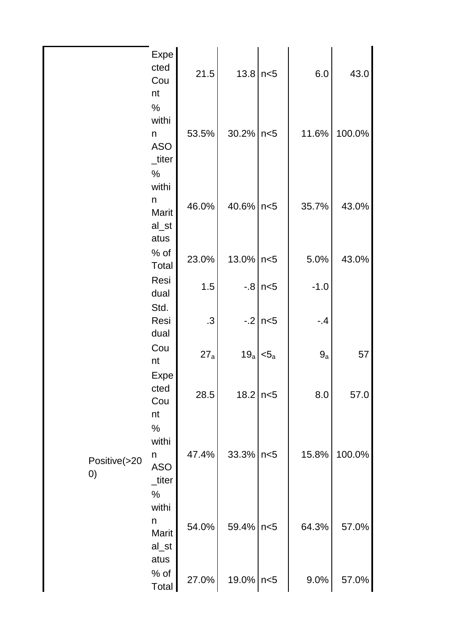| IEEE-SEM, Volume 9, Issue 12, December-2021 |
|---------------------------------------------|
| ISSN 2320-9151                              |

|                                        | Expe<br>cted<br>Cou<br>nt                    | 21.5           | 13.8      | n<5              | 6.0    | 43.0   |
|----------------------------------------|----------------------------------------------|----------------|-----------|------------------|--------|--------|
|                                        | $\%$<br>withi<br>n<br><b>ASO</b><br>_titer   | 53.5%          | 30.2%     | n<5              | 11.6%  | 100.0% |
|                                        | $\%$<br>withi<br>n<br>Marit<br>al_st         | 46.0%          | 40.6%     | n<5              | 35.7%  | 43.0%  |
|                                        | atus<br>$%$ of<br>Total                      | 23.0%          | 13.0%     | n<5              | 5.0%   | 43.0%  |
|                                        | Resi<br>dual                                 | 1.5            |           | $-.8$ n $<$ 5    | $-1.0$ |        |
|                                        | Std.<br>Resi<br>dual                         | $\overline{3}$ | $-2$      | n<5              | .4     |        |
|                                        | Cou<br>nt                                    | 27a            | 19a       | $<$ 5 $_{\rm a}$ | 9a     | 57     |
|                                        | Expe<br>cted<br>Cou<br>nt                    | 28.5           | 18.2      | n<5              | 8.0    | 57.0   |
| Positive(>20<br>$\left( 0\right)$      | %<br>withi<br>n<br><b>ASO</b><br>_titer      | 47.4%          | 33.3%     | n<5              | 15.8%  | 100.0% |
|                                        | $\%$<br>withi<br>n<br>Marit<br>al_st<br>atus | 54.0%          | 59.4%     | n<5              | 64.3%  | 57.0%  |
|                                        | $%$ of<br>Total                              | 27.0%          | 19.0% n<5 |                  | 9.0%   | 57.0%  |
| Copyright © 2021 IEEE-SEM Publications |                                              |                |           |                  |        |        |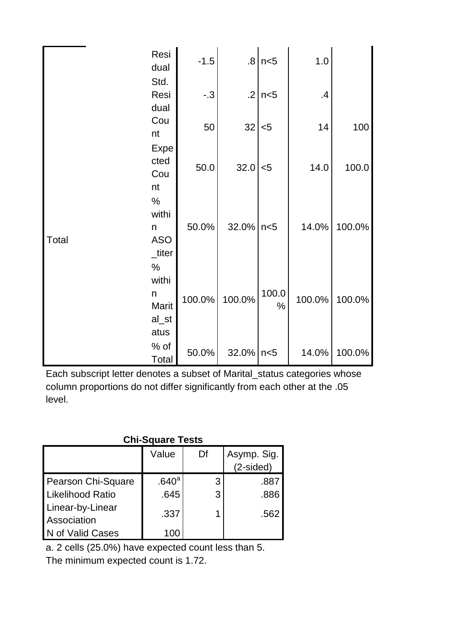|       | Resi<br>dual                                 | $-1.5$ |        | $.8 \mid n < 5$ | 1.0    |        |
|-------|----------------------------------------------|--------|--------|-----------------|--------|--------|
|       | Std.<br>Resi<br>dual                         | $-.3$  | .2     | n<5             | .4     |        |
|       | Cou<br>nt                                    | 50     | 32     | $5$             | 14     | 100    |
|       | Expe<br>cted<br>Cou<br>nt                    | 50.0   | 32.0   | $5$             | 14.0   | 100.0  |
| Total | $\%$<br>withi<br>n<br><b>ASO</b><br>_titer   | 50.0%  | 32.0%  | n<5             | 14.0%  | 100.0% |
|       | $\%$<br>withi<br>n<br>Marit<br>al_st<br>atus | 100.0% | 100.0% | 100.0<br>$\%$   | 100.0% | 100.0% |
|       | $%$ of<br>Total                              | 50.0%  | 32.0%  | n<5             | 14.0%  | 100.0% |

|                                                                                                                                                                 | п<br>Marit<br>al_st<br>atus | 100.0% | 100.0%                   | ט.טע<br>℅ | 100.0% | 100 |  |  |
|-----------------------------------------------------------------------------------------------------------------------------------------------------------------|-----------------------------|--------|--------------------------|-----------|--------|-----|--|--|
|                                                                                                                                                                 | % of<br>Total               | 50.0%  | 32.0%                    | n<5       | 14.0%  | 100 |  |  |
| Each subscript letter denotes a subset of Marital_status categories whos<br>column proportions do not differ significantly from each other at the .05<br>level. |                             |        |                          |           |        |     |  |  |
|                                                                                                                                                                 | <b>Chi-Square Tests</b>     |        |                          |           |        |     |  |  |
|                                                                                                                                                                 | Value                       | Df     | Asymp. Sig.<br>(2-sided) |           |        |     |  |  |
| Pearson Chi-Square                                                                                                                                              | .640 <sup>a</sup>           | 3      |                          | .887      |        |     |  |  |
| <b>Likelihood Ratio</b>                                                                                                                                         | .645                        | 3      |                          | .886      |        |     |  |  |
| Linear-by-Linear<br>Association                                                                                                                                 | .337                        | 1      |                          | .562      |        |     |  |  |
| N of Valid Cases                                                                                                                                                | 100                         |        |                          |           |        |     |  |  |
| a. 2 cells (25.0%) have expected count less than 5.                                                                                                             |                             |        |                          |           |        |     |  |  |
| The minimum expected count is 1.72.                                                                                                                             |                             |        |                          |           |        |     |  |  |
| Copyright © 2021 IEEE-SEM Publications                                                                                                                          |                             |        |                          |           |        |     |  |  |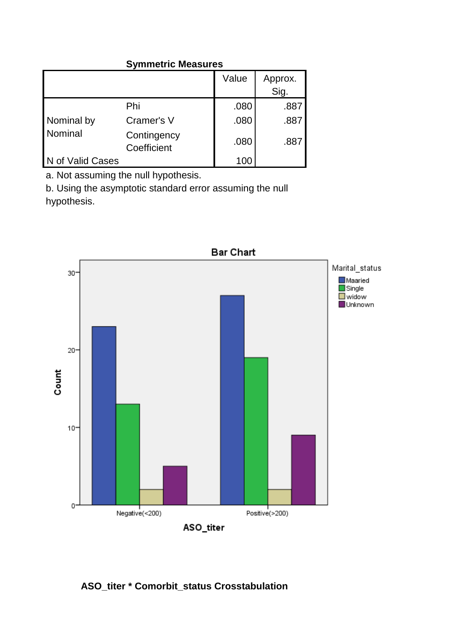# **Symmetric Measures**

|                  |                            | Value | Approx.<br>Sig. |
|------------------|----------------------------|-------|-----------------|
|                  | Phi                        | .080  | .887            |
| Nominal by       | Cramer's V                 | .080  | .887            |
| Nominal          | Contingency<br>Coefficient | .080  | .887            |
| N of Valid Cases |                            | 100   |                 |

a. Not assuming the null hypothesis.

b. Using the asymptotic standard error assuming the null hypothesis.



# **ASO\_titer \* Comorbit\_status Crosstabulation**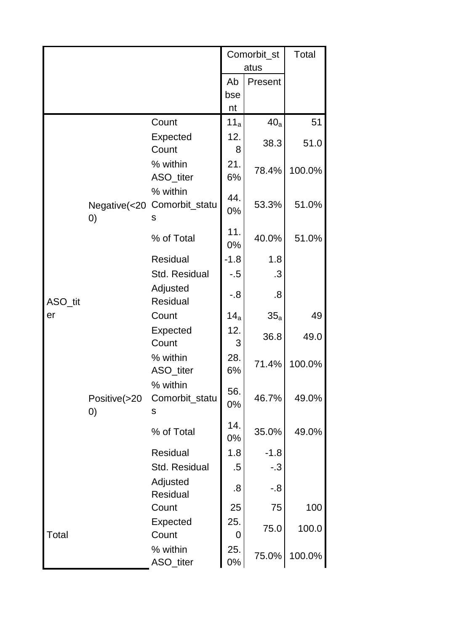|         |                                   |                                 | Comorbit_st<br>atus |                 | Total  |  |
|---------|-----------------------------------|---------------------------------|---------------------|-----------------|--------|--|
|         |                                   |                                 | Ab                  | Present         |        |  |
|         |                                   |                                 | bse                 |                 |        |  |
|         |                                   |                                 | nt                  |                 |        |  |
|         |                                   | Count                           | 11 <sub>a</sub>     | 40 <sub>a</sub> | 51     |  |
|         |                                   | Expected<br>Count               | 12.<br>8            | 38.3            | 51.0   |  |
|         | Negative(<20<br>$\left( 0\right)$ | % within<br>ASO_titer           | 21.<br>6%           | 78.4%           | 100.0% |  |
|         |                                   | % within<br>Comorbit_statu<br>s | 44.<br>0%           | 53.3%           | 51.0%  |  |
|         |                                   | % of Total                      | 11.<br>0%           | 40.0%           | 51.0%  |  |
|         |                                   | Residual                        | $-1.8$              | 1.8             |        |  |
|         |                                   | Std. Residual                   | -.5                 | .3              |        |  |
| ASO_tit |                                   | Adjusted<br><b>Residual</b>     | -.8                 | 8.              |        |  |
| er      | Positive(>20<br>$\left( 0\right)$ | Count                           | 14 <sub>a</sub>     | $35_a$          | 49     |  |
|         |                                   | Expected                        | 12.                 |                 |        |  |
|         |                                   | Count                           | 3                   | 36.8            | 49.0   |  |
|         |                                   | % within<br>ASO_titer           | 28.<br>6%           | 71.4%           | 100.0% |  |
|         |                                   | % within<br>Comorbit_statu<br>S | 56.<br>0%           | 46.7%           | 49.0%  |  |
|         |                                   | % of Total                      | 14.<br>0%           | 35.0%           | 49.0%  |  |
|         |                                   | Residual                        | 1.8                 | $-1.8$          |        |  |
|         |                                   | Std. Residual                   | .5                  | $-.3$           |        |  |
|         |                                   | Adjusted<br>Residual            | .8                  | $-0.8$          |        |  |
|         |                                   | Count                           | 25                  | 75              | 100    |  |
| Total   |                                   | Expected<br>Count               | 25.<br>0            | 75.0            | 100.0  |  |
|         |                                   | % within<br>ASO_titer           | 25.<br>0%           | 75.0%           | 100.0% |  |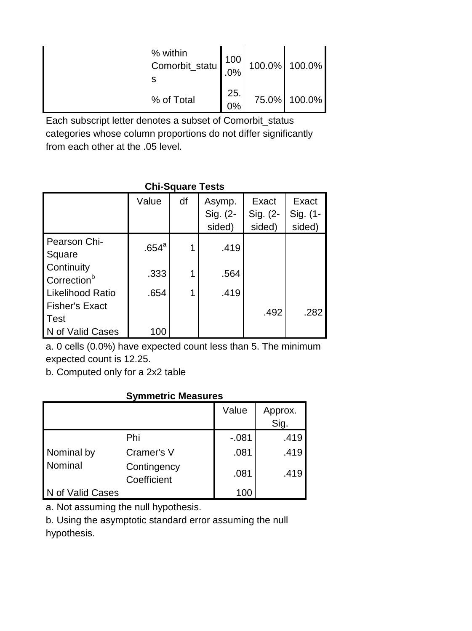| % within<br>$\begin{bmatrix} 100 \\ \text{Comorbit\_statu} \end{bmatrix}$ |           | 100.0% 100.0% |
|---------------------------------------------------------------------------|-----------|---------------|
| % of Total                                                                | 25.<br>0% | 75.0% 100.0%  |

Each subscript letter denotes a subset of Comorbit\_status categories whose column proportions do not differ significantly from each other at the .05 level.

# **Chi-Square Tests**

|                                       | Value             | df | Asymp.<br>Sig. (2-<br>sided) | Exact<br>Sig. (2-<br>sided) | Exact<br>Sig. (1-<br>sided) |  |
|---------------------------------------|-------------------|----|------------------------------|-----------------------------|-----------------------------|--|
| Pearson Chi-<br>Square                | .654 <sup>a</sup> |    | .419                         |                             |                             |  |
| Continuity<br>Correction <sup>b</sup> | .333              |    | .564                         |                             |                             |  |
| <b>Likelihood Ratio</b>               | .654              |    | .419                         |                             |                             |  |
| <b>Fisher's Exact</b>                 |                   |    |                              | .492                        | .282                        |  |
| <b>Test</b>                           |                   |    |                              |                             |                             |  |
| N of Valid Cases                      | 100               |    |                              |                             |                             |  |

# **Symmetric Measures**

| LINGIII IUUU NAIIU<br><b>Fisher's Exact</b><br><b>Test</b><br>N of Valid Cases                                                 | .004<br>100                |  | . 41 Y  | .492            | .282 |  |  |  |
|--------------------------------------------------------------------------------------------------------------------------------|----------------------------|--|---------|-----------------|------|--|--|--|
| a. 0 cells (0.0%) have expected count less than 5. The minimum<br>expected count is 12.25.<br>b. Computed only for a 2x2 table |                            |  |         |                 |      |  |  |  |
| <b>Symmetric Measures</b>                                                                                                      |                            |  |         |                 |      |  |  |  |
|                                                                                                                                |                            |  | Value   | Approx.<br>Sig. |      |  |  |  |
|                                                                                                                                | Phi                        |  | $-.081$ | .419            |      |  |  |  |
| Nominal by                                                                                                                     | Cramer's V                 |  | .081    | .419            |      |  |  |  |
| Nominal                                                                                                                        | Contingency<br>Coefficient |  | .081    | .419            |      |  |  |  |
| N of Valid Cases                                                                                                               |                            |  | 100     |                 |      |  |  |  |
| a. Not assuming the null hypothesis.<br>b. Using the asymptotic standard error assuming the null<br>hypothesis.                |                            |  |         |                 |      |  |  |  |
| Copyright © 2021 IEEE-SEM Publications                                                                                         |                            |  |         |                 |      |  |  |  |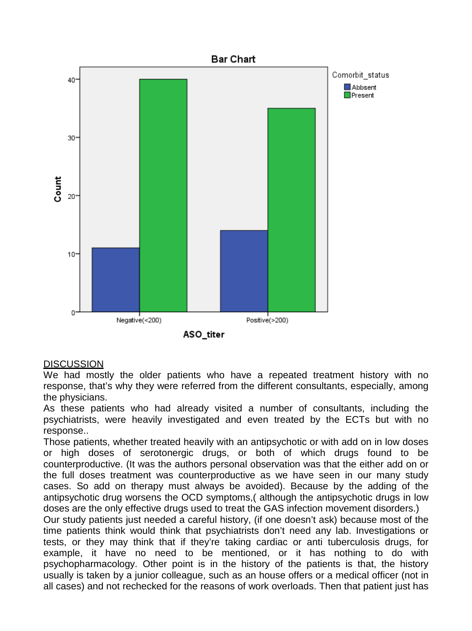

# **DISCUSSION**

We had mostly the older patients who have a repeated treatment history with no response, that's why they were referred from the different consultants, especially, among the physicians.

As these patients who had already visited a number of consultants, including the psychiatrists, were heavily investigated and even treated by the ECTs but with no response..

Those patients, whether treated heavily with an antipsychotic or with add on in low doses or high doses of serotonergic drugs, or both of which drugs found to be counterproductive. (It was the authors personal observation was that the either add on or the full doses treatment was counterproductive as we have seen in our many study cases. So add on therapy must always be avoided). Because by the adding of the antipsychotic drug worsens the OCD symptoms,( although the antipsychotic drugs in low doses are the only effective drugs used to treat the GAS infection movement disorders.)

Our study patients just needed a careful history, (if one doesn't ask) because most of the time patients think would think that psychiatrists don't need any lab. Investigations or tests, or they may think that if they're taking cardiac or anti tuberculosis drugs, for example, it have no need to be mentioned, or it has nothing to do with psychopharmacology. Other point is in the history of the patients is that, the history usually is taken by a junior colleague, such as an house offers or a medical officer (not in all cases) and not rechecked for the reasons of work overloads. Then that patient just has **Example 18**<br> **Example 18**<br> **Example 18**<br> **Example 189**<br> **Example 189**<br> **Example 189**<br> **Example 189**<br> **Example 189**<br> **Example 189**<br> **Example 189**<br> **Example 189**<br> **Example 189**<br> **Example 189**<br> **Example 189**<br> **Example 189**<br>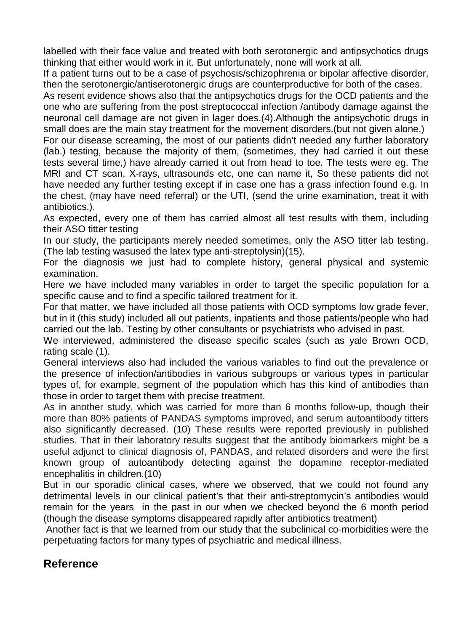labelled with their face value and treated with both serotonergic and antipsychotics drugs thinking that either would work in it. But unfortunately, none will work at all.

If a patient turns out to be a case of psychosis/schizophrenia or bipolar affective disorder, then the serotonergic/antiserotonergic drugs are counterproductive for both of the cases.

As resent evidence shows also that the antipsychotics drugs for the OCD patients and the one who are suffering from the post streptococcal infection /antibody damage against the neuronal cell damage are not given in lager does.(4).Although the antipsychotic drugs in small does are the main stay treatment for the movement disorders.(but not given alone,)

For our disease screaming, the most of our patients didn't needed any further laboratory (lab.) testing, because the majority of them, (sometimes, they had carried it out these tests several time,) have already carried it out from head to toe. The tests were eg. The MRI and CT scan, X-rays, ultrasounds etc, one can name it, So these patients did not have needed any further testing except if in case one has a grass infection found e.g. In the chest, (may have need referral) or the UTI, (send the urine examination, treat it with antibiotics.).

As expected, every one of them has carried almost all test results with them, including their ASO titter testing

In our study, the participants merely needed sometimes, only the ASO titter lab testing. (The lab testing wasused the latex type anti-streptolysin)(15).

For the diagnosis we just had to complete history, general physical and systemic examination.

Here we have included many variables in order to target the specific population for a specific cause and to find a specific tailored treatment for it.

For that matter, we have included all those patients with OCD symptoms low grade fever, but in it (this study) included all out patients, inpatients and those patients/people who had carried out the lab. Testing by other consultants or psychiatrists who advised in past.

We interviewed, administered the disease specific scales (such as yale Brown OCD, rating scale (1).

General interviews also had included the various variables to find out the prevalence or the presence of infection/antibodies in various subgroups or various types in particular types of, for example, segment of the population which has this kind of antibodies than those in order to target them with precise treatment.

As in another study, which was carried for more than 6 months follow-up, though their more than 80% patients of PANDAS symptoms improved, and serum autoantibody titters also significantly decreased. (10) These results were reported previously in published studies. That in their laboratory results suggest that the antibody biomarkers might be a useful adjunct to clinical diagnosis of, PANDAS, and related disorders and were the first known group of autoantibody detecting against the dopamine receptor-mediated encephalitis in children.(10) critic cause and to find a specific tailored treatment for it.<br>That matter, we have included all those patients with OCD symptoms<br>in it (this study) included all out patients, inpatients and those patient<br>in the tab. Testi

But in our sporadic clinical cases, where we observed, that we could not found any detrimental levels in our clinical patient's that their anti-streptomycin's antibodies would remain for the years in the past in our when we checked beyond the 6 month period (though the disease symptoms disappeared rapidly after antibiotics treatment)

Another fact is that we learned from our study that the subclinical co-morbidities were the perpetuating factors for many types of psychiatric and medical illness.

# **Reference**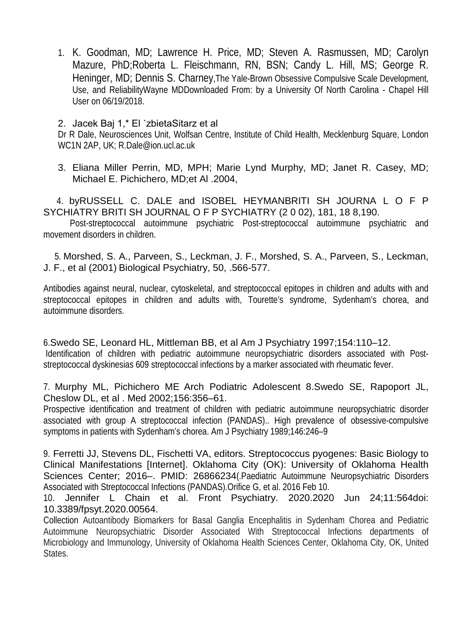1. K. Goodman, MD; Lawrence H. Price, MD; Steven A. Rasmussen, MD; Carolyn Mazure, PhD;Roberta L. Fleischmann, RN, BSN; Candy L. Hill, MS; George R. Heninger, MD; Dennis S. Charney,The Yale-Brown Obsessive Compulsive Scale Development, Use, and ReliabilityWayne MDDownloaded From: by a University Of North Carolina - Chapel Hill User on 06/19/2018.

# 2. Jacek Baj 1,\* El ˙zbietaSitarz et al

Dr R Dale, Neurosciences Unit, Wolfsan Centre, Institute of Child Health, Mecklenburg Square, London WC1N 2AP, UK; R.Dale@ion.ucl.ac.uk

3. Eliana Miller Perrin, MD, MPH; Marie Lynd Murphy, MD; Janet R. Casey, MD; Michael E. Pichichero, MD;et Al .2004,

 4. byRUSSELL C. DALE and ISOBEL HEYMANBRITI SH JOURNA L O F P SYCHIATRY BRITI SH JOURNAL O F P SYCHIATRY (2 0 02), 181, 18 8,190.

 Post-streptococcal autoimmune psychiatric Post-streptococcal autoimmune psychiatric and movement disorders in children.

 5. Morshed, S. A., Parveen, S., Leckman, J. F., Morshed, S. A., Parveen, S., Leckman, J. F., et al (2001) Biological Psychiatry, 50, .566-577.

Antibodies against neural, nuclear, cytoskeletal, and streptococcal epitopes in children and adults with and streptococcal epitopes in children and adults with, Tourette's syndrome, Sydenham's chorea, and autoimmune disorders.

6.Swedo SE, Leonard HL, Mittleman BB, et al Am J Psychiatry 1997;154:110–12. Identification of children with pediatric autoimmune neuropsychiatric disorders associated with Poststreptococcal dyskinesias 609 streptococcal infections by a marker associated with rheumatic fever.

# 7. Murphy ML, Pichichero ME Arch Podiatric Adolescent 8.Swedo SE, Rapoport JL, Cheslow DL, et al . Med 2002;156:356–61.

Prospective identification and treatment of children with pediatric autoimmune neuropsychiatric disorder associated with group A streptococcal infection (PANDAS).. High prevalence of obsessive-compulsive symptoms in patients with Sydenham's chorea. Am J Psychiatry 1989;146:246–9

9. Ferretti JJ, Stevens DL, Fischetti VA, editors. Streptococcus pyogenes: Basic Biology to Clinical Manifestations [Internet]. Oklahoma City (OK): University of Oklahoma Health Sciences Center; 2016-. PMID: 26866234 (Paediatric Autoimmune Neuropsychiatric Disorders Associated with Streptococcal Infections (PANDAS).Orifice G, et al. 2016 Feb 10. biture of entirelystics in children and adults with, Tourette's syndrome, Syder<br>immune disorders<br>memoire disorders<br>wedo SE, Leonard HL, Mittleman BB, et al Am J Psychiatry 1997;154<br>tilfication of children with pediatric a

10. Jennifer L Chain et al. Front Psychiatry. 2020.2020 Jun 24;11:564doi: 10.3389/fpsyt.2020.00564.

Collection Autoantibody Biomarkers for Basal Ganglia Encephalitis in Sydenham Chorea and Pediatric Autoimmune Neuropsychiatric Disorder Associated With Streptococcal Infections departments of Microbiology and Immunology, University of Oklahoma Health Sciences Center, Oklahoma City, OK, United **States**.